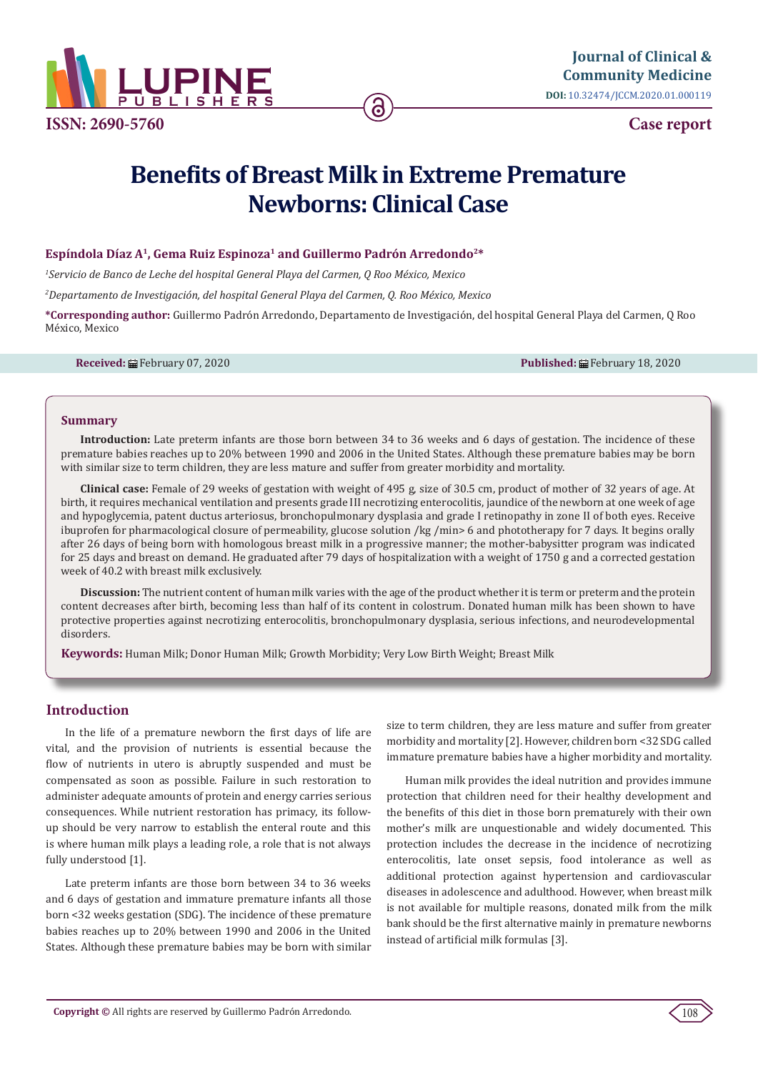

**ISSN: 2690-5760**

**Case report**

# **Benefits of Breast Milk in Extreme Premature Newborns: Clinical Case**

# **Espíndola Díaz A<sup>1</sup>, Gema Ruiz Espinoza<sup>1</sup> and Guillermo Padrón Arredondo2\***

*1 Servicio de Banco de Leche del hospital General Playa del Carmen, Q Roo México, Mexico*

*2 Departamento de Investigación, del hospital General Playa del Carmen, Q. Roo México, Mexico* 

**\*Corresponding author:** Guillermo Padrón Arredondo, Departamento de Investigación, del hospital General Playa del Carmen, Q Roo México, Mexico

**Received:** February 07, 2020 **Published:** February 18, 2020

#### **Summary**

**Introduction:** Late preterm infants are those born between 34 to 36 weeks and 6 days of gestation. The incidence of these premature babies reaches up to 20% between 1990 and 2006 in the United States. Although these premature babies may be born with similar size to term children, they are less mature and suffer from greater morbidity and mortality.

**Clinical case:** Female of 29 weeks of gestation with weight of 495 g, size of 30.5 cm, product of mother of 32 years of age. At birth, it requires mechanical ventilation and presents grade III necrotizing enterocolitis, jaundice of the newborn at one week of age and hypoglycemia, patent ductus arteriosus, bronchopulmonary dysplasia and grade I retinopathy in zone II of both eyes. Receive ibuprofen for pharmacological closure of permeability, glucose solution /kg /min> 6 and phototherapy for 7 days. It begins orally after 26 days of being born with homologous breast milk in a progressive manner; the mother-babysitter program was indicated for 25 days and breast on demand. He graduated after 79 days of hospitalization with a weight of 1750 g and a corrected gestation week of 40.2 with breast milk exclusively.

**Discussion:** The nutrient content of human milk varies with the age of the product whether it is term or preterm and the protein content decreases after birth, becoming less than half of its content in colostrum. Donated human milk has been shown to have protective properties against necrotizing enterocolitis, bronchopulmonary dysplasia, serious infections, and neurodevelopmental disorders.

**Keywords:** Human Milk; Donor Human Milk; Growth Morbidity; Very Low Birth Weight; Breast Milk

### **Introduction**

In the life of a premature newborn the first days of life are vital, and the provision of nutrients is essential because the flow of nutrients in utero is abruptly suspended and must be compensated as soon as possible. Failure in such restoration to administer adequate amounts of protein and energy carries serious consequences. While nutrient restoration has primacy, its followup should be very narrow to establish the enteral route and this is where human milk plays a leading role, a role that is not always fully understood [1].

Late preterm infants are those born between 34 to 36 weeks and 6 days of gestation and immature premature infants all those born <32 weeks gestation (SDG). The incidence of these premature babies reaches up to 20% between 1990 and 2006 in the United States. Although these premature babies may be born with similar

size to term children, they are less mature and suffer from greater morbidity and mortality [2]. However, children born <32 SDG called immature premature babies have a higher morbidity and mortality.

Human milk provides the ideal nutrition and provides immune protection that children need for their healthy development and the benefits of this diet in those born prematurely with their own mother's milk are unquestionable and widely documented. This protection includes the decrease in the incidence of necrotizing enterocolitis, late onset sepsis, food intolerance as well as additional protection against hypertension and cardiovascular diseases in adolescence and adulthood. However, when breast milk is not available for multiple reasons, donated milk from the milk bank should be the first alternative mainly in premature newborns instead of artificial milk formulas [3].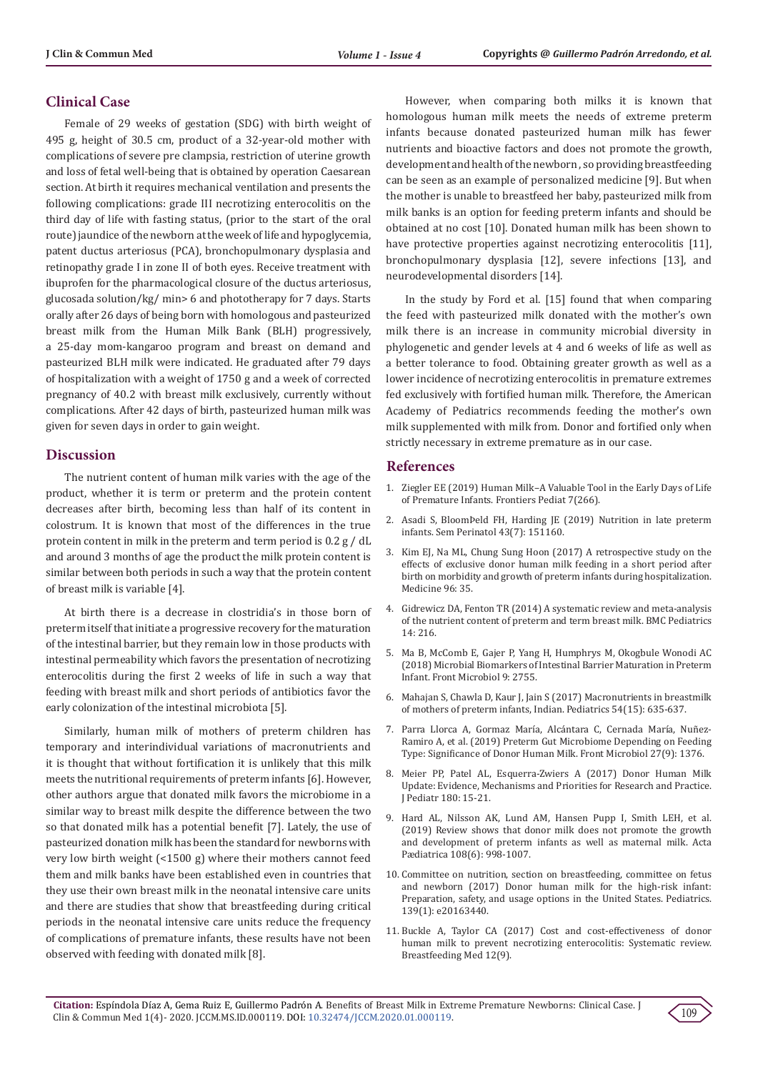# **Clinical Case**

Female of 29 weeks of gestation (SDG) with birth weight of 495 g, height of 30.5 cm, product of a 32-year-old mother with complications of severe pre clampsia, restriction of uterine growth and loss of fetal well-being that is obtained by operation Caesarean section. At birth it requires mechanical ventilation and presents the following complications: grade III necrotizing enterocolitis on the third day of life with fasting status, (prior to the start of the oral route) jaundice of the newborn at the week of life and hypoglycemia, patent ductus arteriosus (PCA), bronchopulmonary dysplasia and retinopathy grade I in zone II of both eyes. Receive treatment with ibuprofen for the pharmacological closure of the ductus arteriosus, glucosada solution/kg/ min> 6 and phototherapy for 7 days. Starts orally after 26 days of being born with homologous and pasteurized breast milk from the Human Milk Bank (BLH) progressively, a 25-day mom-kangaroo program and breast on demand and pasteurized BLH milk were indicated. He graduated after 79 days of hospitalization with a weight of 1750 g and a week of corrected pregnancy of 40.2 with breast milk exclusively, currently without complications. After 42 days of birth, pasteurized human milk was given for seven days in order to gain weight.

### **Discussion**

The nutrient content of human milk varies with the age of the product, whether it is term or preterm and the protein content decreases after birth, becoming less than half of its content in colostrum. It is known that most of the differences in the true protein content in milk in the preterm and term period is 0.2 g / dL and around 3 months of age the product the milk protein content is similar between both periods in such a way that the protein content of breast milk is variable [4].

At birth there is a decrease in clostridia's in those born of preterm itself that initiate a progressive recovery for the maturation of the intestinal barrier, but they remain low in those products with intestinal permeability which favors the presentation of necrotizing enterocolitis during the first 2 weeks of life in such a way that feeding with breast milk and short periods of antibiotics favor the early colonization of the intestinal microbiota [5].

Similarly, human milk of mothers of preterm children has temporary and interindividual variations of macronutrients and it is thought that without fortification it is unlikely that this milk meets the nutritional requirements of preterm infants [6]. However, other authors argue that donated milk favors the microbiome in a similar way to breast milk despite the difference between the two so that donated milk has a potential benefit [7]. Lately, the use of pasteurized donation milk has been the standard for newborns with very low birth weight (<1500 g) where their mothers cannot feed them and milk banks have been established even in countries that they use their own breast milk in the neonatal intensive care units and there are studies that show that breastfeeding during critical periods in the neonatal intensive care units reduce the frequency of complications of premature infants, these results have not been observed with feeding with donated milk [8].

However, when comparing both milks it is known that homologous human milk meets the needs of extreme preterm infants because donated pasteurized human milk has fewer nutrients and bioactive factors and does not promote the growth, development and health of the newborn , so providing breastfeeding can be seen as an example of personalized medicine [9]. But when the mother is unable to breastfeed her baby, pasteurized milk from milk banks is an option for feeding preterm infants and should be obtained at no cost [10]. Donated human milk has been shown to have protective properties against necrotizing enterocolitis [11], bronchopulmonary dysplasia [12], severe infections [13], and neurodevelopmental disorders [14].

In the study by Ford et al. [15] found that when comparing the feed with pasteurized milk donated with the mother's own milk there is an increase in community microbial diversity in phylogenetic and gender levels at 4 and 6 weeks of life as well as a better tolerance to food. Obtaining greater growth as well as a lower incidence of necrotizing enterocolitis in premature extremes fed exclusively with fortified human milk. Therefore, the American Academy of Pediatrics recommends feeding the mother's own milk supplemented with milk from. Donor and fortified only when strictly necessary in extreme premature as in our case.

#### **References**

- 1. [Ziegler EE \(2019\) Human Milk–A Valuable Tool in the Early Days of Life](https://www.frontiersin.org/articles/10.3389/fped.2019.00266/full) [of Premature Infants. Frontiers Pediat 7\(266\).](https://www.frontiersin.org/articles/10.3389/fped.2019.00266/full)
- 2. [Asadi S, BloomÞeld FH, Harding JE \(2019\) Nutrition in late preterm](https://www.ncbi.nlm.nih.gov/pubmed/31301818) [infants. Sem Perinatol 43\(7\): 151160.](https://www.ncbi.nlm.nih.gov/pubmed/31301818)
- 3. Kim EJ, Na ML, Chung Sung Hoon (2017) A retrospective study on the effects of exclusive donor human milk feeding in a short period after birth on morbidity and growth of preterm infants during hospitalization. Medicine 96: 35.
- 4. [Gidrewicz DA, Fenton TR \(2014\) A systematic review and meta-analysis](https://bmcpediatr.biomedcentral.com/articles/10.1186/1471-2431-14-216) [of the nutrient content of preterm and term breast milk. BMC Pediatrics](https://bmcpediatr.biomedcentral.com/articles/10.1186/1471-2431-14-216) [14: 216.](https://bmcpediatr.biomedcentral.com/articles/10.1186/1471-2431-14-216)
- 5. [Ma B, McComb E, Gajer P, Yang H, Humphrys M, Okogbule Wonodi AC](https://www.ncbi.nlm.nih.gov/pubmed/30487786) [\(2018\) Microbial Biomarkers of Intestinal Barrier Maturation in Preterm](https://www.ncbi.nlm.nih.gov/pubmed/30487786) [Infant. Front Microbiol 9: 2755.](https://www.ncbi.nlm.nih.gov/pubmed/30487786)
- 6. [Mahajan S, Chawla D, Kaur J, Jain S \(2017\) Macronutrients in breastmilk](https://www.indianpediatrics.net/aug2017/aug-635-637.htm) [of mothers of preterm infants, Indian. Pediatrics 54\(15\): 635-637.](https://www.indianpediatrics.net/aug2017/aug-635-637.htm)
- 7. [Parra Llorca A, Gormaz María, Alcántara C, Cernada María, Nuñez-](https://www.ncbi.nlm.nih.gov/pubmed/29997594)[Ramiro A, et al. \(2019\) Preterm Gut Microbiome Depending on Feeding](https://www.ncbi.nlm.nih.gov/pubmed/29997594) [Type: Significance of Donor Human Milk. Front Microbiol 27\(9\): 1376.](https://www.ncbi.nlm.nih.gov/pubmed/29997594)
- 8. [Meier PP, Patel AL, Esquerra-Zwiers A \(2017\) Donor Human Milk](https://www.ncbi.nlm.nih.gov/pubmed/27773337) [Update: Evidence, Mechanisms and Priorities for Research and Practice.](https://www.ncbi.nlm.nih.gov/pubmed/27773337) [J Pediatr 180: 15-21.](https://www.ncbi.nlm.nih.gov/pubmed/27773337)
- 9. [Hard AL, Nilsson AK, Lund AM, Hansen Pupp I, Smith LEH, et al.](https://www.ncbi.nlm.nih.gov/pubmed/30565323) [\(2019\) Review shows that donor milk does not promote the growth](https://www.ncbi.nlm.nih.gov/pubmed/30565323) [and development of preterm infants as well as maternal milk. Acta](https://www.ncbi.nlm.nih.gov/pubmed/30565323) [Pædiatrica 108\(6\): 998-1007.](https://www.ncbi.nlm.nih.gov/pubmed/30565323)
- 10. [Committee on nutrition, section on breastfeeding, committee on fetus](https://www.ncbi.nlm.nih.gov/pubmed/27994111) [and newborn \(2017\) Donor human milk for the high-risk infant:](https://www.ncbi.nlm.nih.gov/pubmed/27994111) [Preparation, safety, and usage options in the United States. Pediatrics.](https://www.ncbi.nlm.nih.gov/pubmed/27994111) [139\(1\): e20163440.](https://www.ncbi.nlm.nih.gov/pubmed/27994111)
- 11. [Buckle A, Taylor CA \(2017\) Cost and cost-effectiveness of donor](https://www.liebertpub.com/doi/10.1089/bfm.2017.0057) [human milk to prevent necrotizing enterocolitis: Systematic review.](https://www.liebertpub.com/doi/10.1089/bfm.2017.0057) [Breastfeeding Med 12\(9\).](https://www.liebertpub.com/doi/10.1089/bfm.2017.0057)